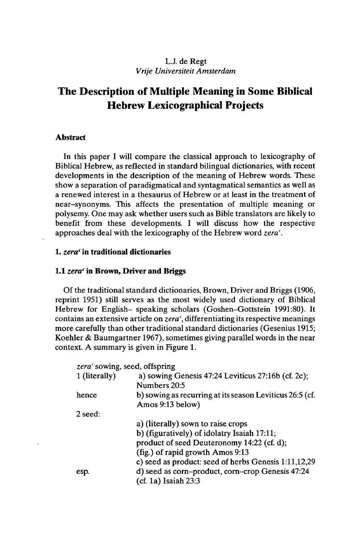## LJ. de Regt *Vrije Universiteit Amsterdam*

# **The Description of Multiple Meaning in Some Biblical Hebrew Lexicographical Projects**

## **Abstract**

In this paper I will compare the classical approach to lexicography of Biblical Hebrew, as reflected in standard bilingual dictionaries, with recent developments in the description of the meaning of Hebrew words. These show a separation of paradigmatical and syntagmatical semantics as well as a renewed interest in a thesaurus of Hebrew or at least in the treatment of near-synonyms. This affects the presentation of multiple meaning or polysemy. One may ask whether users such as Bible translators are likely to benefit from these developments. I will discuss how the respective approaches deal with the lexicography of the Hebrew word *zera'.*

## 1. *zera'* **in traditional dictionaries**

### **1.1** *zera'* **in Brown, Driver and Briggs**

Of the traditional standard dictionaries, Brown, Driver and Briggs (1906, reprint 1951) still serves as the most widely used dictionary of Biblical Hebrew for English- speaking scholars (Goshen-Gottstein 1991:80). It contains an extensive article on *zera',* differentiating its respective meanings more carefully than other traditional standard dictionaries (Gesenius 1915; Koehler & Baumgartner 1967), sometimes giving parallel words in the near context. A summary is given in Figure 1.

| zera' sowing, seed, offspring |                                                                              |
|-------------------------------|------------------------------------------------------------------------------|
| 1 (literally)                 | a) sowing Genesis $47:24$ Leviticus $27:16b$ (cf. 2c);                       |
|                               | Numbers 20:5                                                                 |
| hence                         | b) sowing as recurring at its season Leviticus 26:5 (cf.<br>Amos 9:13 below) |
| 2 seed:                       |                                                                              |
|                               | a) (literally) sown to raise crops                                           |
|                               | b) (figuratively) of idolatry Isaiah 17:11;                                  |
|                               | product of seed Deuteronomy 14:22 (cf. d);                                   |
|                               | (fig.) of rapid growth Amos 9:13                                             |
|                               | c) seed as product: seed of herbs Genesis 1:11,12,29                         |
| esp.                          | d) seed as corn-product, corn-crop Genesis 47:24                             |
|                               | $(cf. 1a)$ Isaiah 23:3                                                       |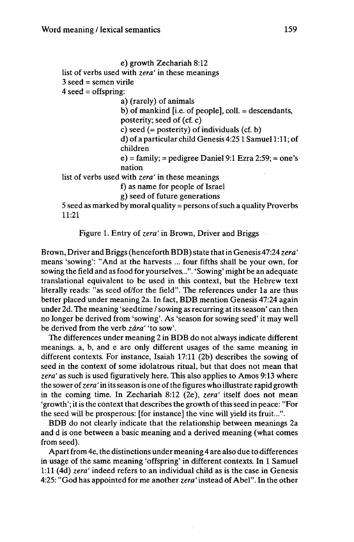```
e) growth Zechariah 8:12
list of verbs used with zera' in these meanings
3 seed = semen virile
4 \text{ seed} = \text{offspring}:
                  a) (rarely) of animals
                  b) of mankind [i.e. of people], coll. = descendants,
                  posterity; seed of (cf. c)
                  c) seed (= posterity) of individuals (cf. b)
                  d) of a particular child Genesis 4:251 Samuel 1:11; of
                  children
                  e) = family; = pedigree Daniel 9:1 Ezra 2:59; = one's
                  nation
list of verbs used with zera' in these meanings
                  f) as name for people of Israel
                  g) seed of future generations
5 seed as marked by moral quality = persons of such a quality Proverbs
11:21
```
Figure 1. Entry of *zera'* in Brown, Driver and Briggs

Brown, Driver and Briggs (henceforth BDB) state thatin Genesis 47:24 *zera'* means 'sowing': "And at the harvests ... four fifths shall be your own, for sowing the field and as food for yourselves...". 'Sowing' might be an adequate translational equivalent to be used in this context, but the Hebrew text literally reads: "as seed of/for the field". The references under la are thus better placed under meaning 2a. In fact, BDB mention Genesis 47:24 again under 2d. The meaning 'seedtime / sowing as recurring at its season' can then no longer be derived from 'sowing'. As 'season for sowing seed' it may well be derived from the verb *zâra'* 'to sow'.

The differences under meaning 2 in BDB do not always indicate different meanings, a, b, and e are only different usages of the same meaning in different contexts. For instance, Isaiah 17:11 (2b) describes the sowing of seed in the context of some idolatrous ritual, but that does not mean that *zera'* as such is used figuratively here. This also applies to Amos 9:13 where the sower of*zera'* in itsseason is one ofthe figures who illustrate rapid growth in the coming time. In Zechariah 8:12 (2e), *zera'* itself does not mean 'growth'; it is the context that describes the growth of this seed in peace: "For the seed will be prosperous: [for instance] the vine will yield its fruit...".

BDB do not clearly indicate that the relationship between meanings 2a and d is one between a basic meaning and a derived meaning (what comes from seed).

Apart from 4e, the distinctions under meaning 4 are also due to differences in usage of the same meaning 'offspring' in different contexts. In <sup>1</sup> Samuel 1:11 (4d) *zera'* indeed refers to an individual child as is the case in Genesis 4:25: "God has appointed for me another *zera '* instead of Abel". In the other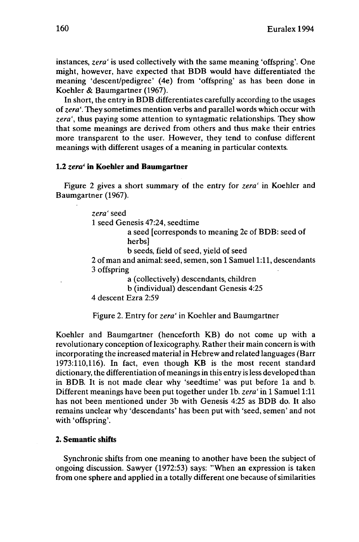instances, *zera'* is used collectively with the same meaning 'offspring'. One might, however, have expected that BDB would have differentiated the meaning 'descent/pedigree' (4e) from 'offspring' as has been done in Koehler & Baumgartner (1967).

In short, the entry in BDB differentiates carefully according to the usages of*zera'.* They sometimes mention verbs and parallel words which occur with *zera',* thus paying some attention to syntagmatic relationships. They show that some meanings are derived from others and thus make their entries more transparent to the user. However, they tend to confuse different meanings with different usages of a meaning in particular contexts.

### **1.2** *zera'* **in Koehler and Baumgartner**

Figure 2 gives a short summary of the entry for *zera'* in Koehler and Baumgartner (1967).

> *zera'* seed <sup>1</sup> seed Genesis 47:24, seedtime a seed [corresponds to meaning 2c of BDB: seed of herbs] b seeds, field of seed, yield of seed 2 of man and animal: seed, semen, son <sup>1</sup> Samuel 1:11, descendants 3 offspring a (collectively) descendants, children b (individual) descendant Genesis 4:25

4 descent Ezra 2:59

Figure 2. Entry for *zera'* in Koehler and Baumgartner

Koehler and Baumgartner (henceforth KB) do not come up with a revolutionary conception of lexicography. Rather their main concern is with incorporating the increased material in Hebrew and related languages (Barr 1973:110,116). In fact, even though KB is the most recent standard dictionary, the differentiation of meanings in this entry is less developed than in BDB. It is not made clear why 'seedtime' was put before la and b. Different meanings have been put together under lb. *zera'* in <sup>1</sup> Samuel 1:11 has not been mentioned under 3b with Genesis 4:25 as BDB do. It also remains unclear why 'descendants' has been put with 'seed, semen' and not with 'offspring'.

#### **2. Semantic shifts**

Synchronic shifts from one meaning to another have been the subject of ongoing discussion. Sawyer (1972:53) says: "When an expression is taken from one sphere and applied in a totally different one because of similarities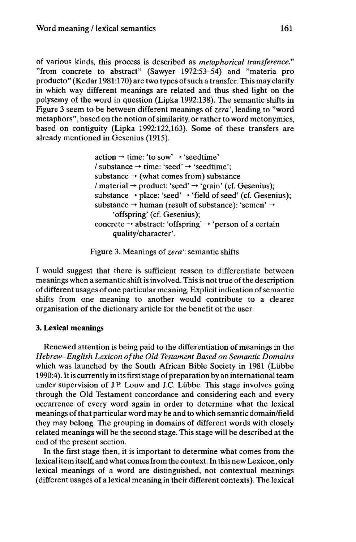of various kinds, this process is described as *metaphorical transference."* "from concrete to abstract" (Sawyer 1972:53-54) and "materia pro producta" (Kedar 1981:170) are two types ofsuch a transfer. This may clarify in which way different meanings are related and thus shed light on the polysemy of the word in question (Lipka 1992:138). The semantic shifts in Figure 3 seem to be between different meanings of *zera',* leading to "word metaphors", based on the notion of similarity, or rather to word metonymies, based on contiguity (Lipka 1992:122,163). Some of these transfers are already mentioned in Gesenius (1915).

> $action \rightarrow time: 'to sow' \rightarrow 'seedtime'$ / substance  $\rightarrow$  time: 'seed'  $\rightarrow$  'seedtime'; substance  $\rightarrow$  (what comes from) substance / material  $\rightarrow$  product: 'seed'  $\rightarrow$  'grain' (cf. Gesenius); substance  $\rightarrow$  place: 'seed'  $\rightarrow$  'field of seed' (cf. Gesenius); substance  $\rightarrow$  human (result of substance): 'semen'  $\rightarrow$ 'offspring' (cf. Gesenius); concrete  $\rightarrow$  abstract: 'offspring'  $\rightarrow$  'person of a certain quality/character'.

Figure 3. Meanings of *zera':* semantic shifts

I would suggest that there is sufficient reason to differentiate between meanings when a semantic shift is involved. This is not true of the description of different usages of one particular meaning. Explicitindication ofsemantic shifts from one meaning to another would contribute to a clearer organisation of the dictionary article for the benefit of the user.

## **3. Lexical meanings**

Renewed attention is being paid to the differentiation of meanings in the *Hebrew-English Lexicon ofthe Old Testament Based on Semantic Domains* which was launched by the South African Bible Society in 1981 (Lübbe 1990:4). It is currently in its first stage of preparation by an international team under supervision of J.P. Louw and J.C. Liibbe. This stage involves going through the Old Testament concordance and considering each and every occurrence of every word again in order to determine what the lexical meanings of that particular word may be and to which semantic domain/field they may belong. The grouping in domains of different words with closely related meanings will be the second stage. This stage will be described at the end of the present section.

In the first stage then, it is important to determine what comes from the lexicalitem itself, and what comesfrom the context. In this new Lexicon, only lexical meanings of a word are distinguished, not contextual meanings (different usages of a lexical meaning in their different contexts). The lexical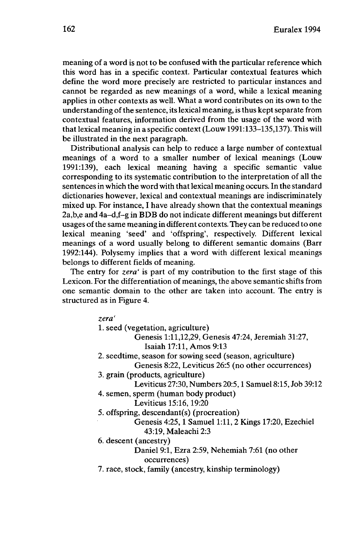meaning of a word is not to be confused with the particular reference which this word has in a specific context. Particular contextual features which define the word more precisely are restricted to particular instances and cannot be regarded as new meanings of a word, while a lexical meaning applies in other contexts as well. What a word contributes on its own to the understanding of the sentence, its lexical meaning, is thus kept separate from contextual features, information derived from the usage of the word with that lexical meaning in a specific context (Louw 1991:133-135,137). This will be illustrated in the next paragraph.

Distributional analysis can help to reduce a large number of contextual meanings of a word to a smaller number of lexical meanings (Louw 1991:139), each lexical meaning having a specific semantic value corresponding to its systematic contribution to the interpretation of all the sentences in which the word with thatlexical meaning occurs. In the standard dictionaries however, lexical and contextual meanings are indiscriminately mixed up. For instance, I have already shown that the contextual meanings 2a,b,e and 4a-d,f-g in BDB do not indicate different meanings but different usages of the same meaning in different contexts. They can be reduced to one lexical meaning 'seed' and 'offspring', respectively. Different lexical meanings of a word usually belong to different semantic domains (Barr 1992:144). Polysemy implies that a word with different lexical meanings belongs to different fields of meaning.

The entry for *zera'* is part of my contribution to the first stage of this Lexicon. For the differentiation of meanings, the above semantic shifts from one semantic domain to the other are taken into account. The entry is structured as in Figure 4.

*zera'*

1. seed (vegetation, agriculture)

Genesis 1:11,12,29, Genesis 47:24, Jeremiah 31:27, Isaiah 17:11, Amos 9:13

- 2. seedtime, season for sowing seed (season, agriculture) Genesis 8:22, Leviticus 26:5 (no other occurrences)
- 3. grain (products, agriculture)

Leviticus 27:30, Numbers 20:5,1 Samuel 8:15, Job 39:12

4. semen, sperm (human body product)

Leviticus 15:16,19:20

5. offspring, descendant(s) (procreation)

Genesis 4:25,1 Samuel 1:11,2 Kings 17:20, Ezechiel 43:19, Maleachi 2:3

6. descent (ancestry)

Daniel 9:1, Ezra 2:59, Nehemiah 7:61 (no other occurrences)

7. race, stock, family (ancestry, kinship terminology)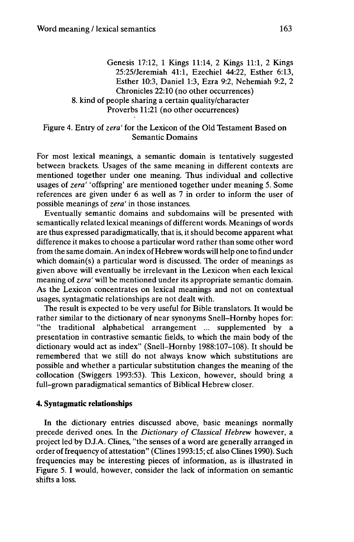Genesis 17:12, <sup>1</sup> Kings 11:14, 2 Kings 11:1, 2 Kings 25:25/Jeremiah 41:1, Ezechiel 44:22, Esther 6:13, Esther 10:3, Daniel 1:3, Ezra 9:2, Nehemiah 9:2, 2 Chronicles 22:10 (no other occurrences) 8. kind of people sharing a certain quality/character Proverbs 11:21 (no other occurrences)

### Figure 4. Entry of *zera'* for the Lexicon of the Old Testament Based on Semantic Domains

For most lexical meanings, a semantic domain is tentatively suggested between brackets. Usages of the same meaning in different contexts are mentioned together under one meaning. Thus individual and collective usages of *zera'* 'offspring' are mentioned together under meaning 5. Some references are given under 6 as well as 7 in order to inform the user of possible meanings of *zera'* in those instances.

Eventually semantic domains and subdomains will be presented with semantically related lexical meanings of different words. Meanings of words are thus expressed paradigmatically, that is, it should become apparent what difference it makes to choose a particular word rather than some other word from the same domain. An index of Hebrew words will help one to find under which domain(s) a particular word is discussed. The order of meanings as given above will eventually be irrelevant in the Lexicon when each lexical meaning of *zera'* will be mentioned under its appropriate semantic domain. As the Lexicon concentrates on lexical meanings and not on contextual usages, syntagmatic relationships are not dealt with.

The result is expected to be very useful for Bible translators. It would be rather similar to the dictionary of near synonyms Snell-Hornby hopes for: "the traditional alphabetical arrangement ... supplemented by a presentation in contrastive semantic fields, to which the main body of the dictionary would act as index" (Snell-Hornby 1988:107-108). It should be remembered that we still do not always know which substitutions are possible and whether a particular substitution changes the meaning of the collocation (Swiggers 1993:53). This Lexicon, however, should bring a full-grown paradigmatical semantics of Biblical Hebrew closer.

## **4. Syntagmatic relationships**

In the dictionary entries discussed above, basic meanings normally precede derived ones. In the *Dictionary of Classical Hebrew* however, a project led by D.J.A. Clines, "the senses of a word are generally arranged in order offrequency of attestation" (Clines 1993:15; cf. also Clines 1990). Such frequencies may be interesting pieces of information, as is illustrated in Figure 5. I would, however, consider the lack of information on semantic shifts a loss.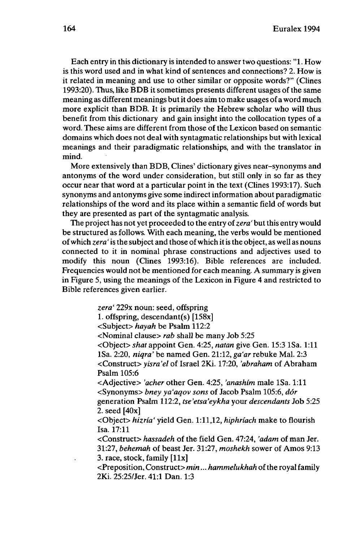Each entry in this dictionary is intended to answer two questions: "1. How is this word used and in what kind of sentences and connections? 2. How is it related in meaning and use to other similar or opposite words?" (Clines 1993:20). Thus, like BDB it sometimes presents different usages of the same meaning as different meanings butit does aim to make usages of a word much more explicit than BDB. It is primarily the Hebrew scholar who will thus benefit from this dictionary and gain insight into the collocation types of a word. These aims are different from those of the Lexicon based on semantic domains which does not deal with syntagmatic relationships but with lexical meanings and their paradigmatic relationships, and with the translator in mind.

More extensively than BDB, Clines' dictionary gives near-synonyms and antonyms of the word under consideration, but still only in so far as they occur near that word at a particular point in the text (Clines 1993:17). Such synonyms and antonyms give some indirect information about paradigmatic relationships of the word and its place within a semantic field of words but they are presented as part of the syntagmatic analysis.

The project has not yet proceeded to the entry of zera' but this entry would be structured as follows. With each meaning, the verbs would be mentioned ofwhich *zera '* isthe subject and those ofwhich itisthe object, as well as nouns connected to it in nominal phrase constructions and adjectives used to modify this noun (Clines 1993:16). Bible references are included. Frequencies would not be mentioned for each meaning. A summary is given in Figure 5, using the meanings of the Lexicon in Figure 4 and restricted to Bible references given earlier.

> *zera'* 229x noun: seed, offspring 1. offspring, descendant(s) [158x] <Subject> *hayah* be Psalm 112:2 <Nominal clause> *rab* shall be many Job 5:25 <Object> *shat* appoint Gen. 4:25, *natan* give Gen. 15:3 ISa. 1:11 ISa. 2:20, *niqra'* be named Gen. 21:12, *ga'ar* rebuke Mai. 2:3 <Construct> *yisra'el* of Israel 2Ki. 17:20, *'abraham* of Abraham Psalm 105:6 <Adjective> *'acher* other Gen. 4:25, *'anashim* male ISa. 1:11 <Synonyms> *bney ya'aqov sons* of Jacob Psalm 105:6, *dôr* generation Psalm 112:2, *tse'etsa'eykha* your *descendants* Job 5:25 2. seed [40x] <Object> *hizria'* yield Gen. 1:11,12, *hiphriach* make to flourish Isa. 17:11 <Construct> *hassadeh* of the field Gen. 47:24, *'adam* of man Jer. 31:27, *behemah* of beast Jer. 31:27, *moshekh* sower of Amos 9:13 3. race, stock, family [llx]

<Preposition, Construct> *min... hammelukhah* ofthe royal family 2Ki. 25:25/Jer. 41:1 Dan. 1:3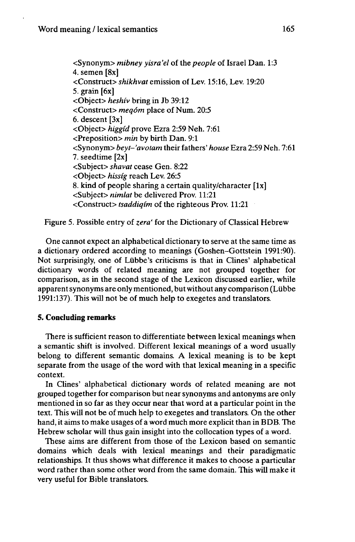<Synonym> *mibney yisra'el* of the *people* of Israel Dan. 1:3 4. semen [8x] <Construct> *shikhvat* emission of Lev. 15:16, Lev. 19:20 5. grain [6x] <Object> *heshiv* bring in Jb 39:12 <Construct> *meqôm* place of Num. 20:5 6. descent [3x] <Object> *higgid* prove Ezra 2:59 Neh. 7:61 <Preposition> *min* by birth Dan. 9:1 <Synonym> *beyt-'avotam* their fathers' *house* Ezra 2:59 Neh. 7:61 7. seedtime [2x] <Subject> *shavat* cease Gen. 8:22 <Object> *hissig* reach Lev. 26:5 8. kind of people sharing a certain quality/character  $[1x]$ <Subject> *nimlat* be delivered Prov. 11:21 <Construct> *tsaddiqim* of the righteous Prov. 11:21

Figure 5. Possible entry of *zera'* for the Dictionary of Classical Hebrew

One cannot expect an alphabetical dictionary to serve at the same time as a dictionary ordered according to meanings (Goshen-Gottstein 1991:90). Not surprisingly, one of Liibbe's criticisms is that in Clines' alphabetical dictionary words of related meaning are not grouped together for comparison, as in the second stage of the Lexicon discussed earlier, while apparent synonyms are only mentioned, but without any comparison (Lübbe 1991:137). This will not be of much help to exegetes and translators.

## **5. Concluding remarks**

There is sufficient reason to differentiate between lexical meanings when a semantic shift is involved. Different lexical meanings of a word usually belong to different semantic domains. A lexical meaning is to be kept separate from the usage of the word with that lexical meaning in a specific context.

In Clines' alphabetical dictionary words of related meaning are not grouped together for comparison but near synonyms and antonyms are only mentioned in so far as they occur near that word at a particular point in the text. This will not be of much help to exegetes and translators. On the other hand, it aims to make usages of a word much more explicit than in BDB. The Hebrew scholar will thus gain insight into the collocation types of a word.

These aims are different from those of the Lexicon based on semantic domains which deals with lexical meanings and their paradigmatic relationships. It thus shows what difference it makes to choose a particular word rather than some other word from the same domain. This will make it very useful for Bible translators.